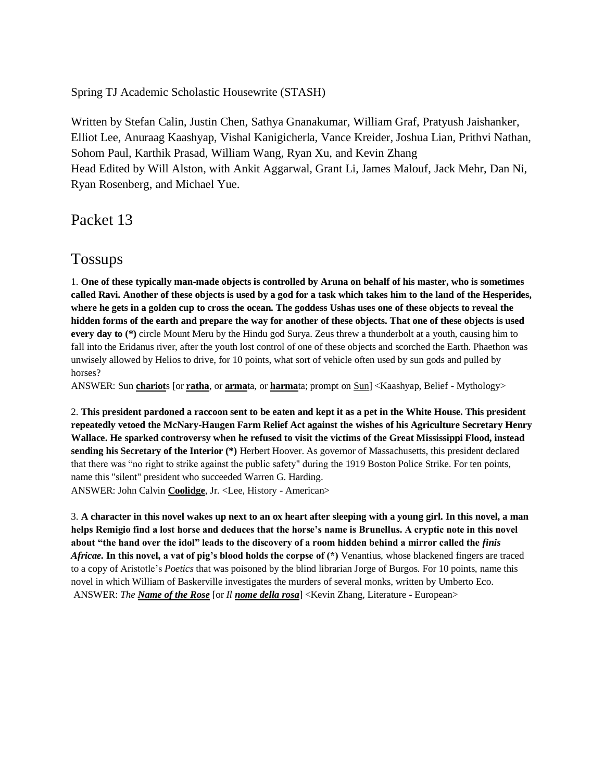Spring TJ Academic Scholastic Housewrite (STASH)

Written by Stefan Calin, Justin Chen, Sathya Gnanakumar, William Graf, Pratyush Jaishanker, Elliot Lee, Anuraag Kaashyap, Vishal Kanigicherla, Vance Kreider, Joshua Lian, Prithvi Nathan, Sohom Paul, Karthik Prasad, William Wang, Ryan Xu, and Kevin Zhang Head Edited by Will Alston, with Ankit Aggarwal, Grant Li, James Malouf, Jack Mehr, Dan Ni, Ryan Rosenberg, and Michael Yue.

Packet 13

## Tossups

1. **One of these typically man-made objects is controlled by Aruna on behalf of his master, who is sometimes called Ravi. Another of these objects is used by a god for a task which takes him to the land of the Hesperides, where he gets in a golden cup to cross the ocean. The goddess Ushas uses one of these objects to reveal the hidden forms of the earth and prepare the way for another of these objects. That one of these objects is used every day to** (\*) circle Mount Meru by the Hindu god Surya. Zeus threw a thunderbolt at a youth, causing him to fall into the Eridanus river, after the youth lost control of one of these objects and scorched the Earth. Phaethon was unwisely allowed by Helios to drive, for 10 points, what sort of vehicle often used by sun gods and pulled by horses?

ANSWER: Sun **chariot**s [or **ratha**, or **arma**ta, or **harma**ta; prompt on Sun] <Kaashyap, Belief - Mythology>

2. **This president pardoned a raccoon sent to be eaten and kept it as a pet in the White House. This president repeatedly vetoed the McNary-Haugen Farm Relief Act against the wishes of his Agriculture Secretary Henry Wallace. He sparked controversy when he refused to visit the victims of the Great Mississippi Flood, instead sending his Secretary of the Interior (\*)** Herbert Hoover. As governor of Massachusetts, this president declared that there was "no right to strike against the public safety" during the 1919 Boston Police Strike. For ten points, name this "silent" president who succeeded Warren G. Harding. ANSWER: John Calvin **Coolidge**, Jr. <Lee, History - American>

3. **A character in this novel wakes up next to an ox heart after sleeping with a young girl. In this novel, a man helps Remigio find a lost horse and deduces that the horse's name is Brunellus. A cryptic note in this novel about "the hand over the idol" leads to the discovery of a room hidden behind a mirror called the** *finis Africae.* **In this novel, a vat of pig's blood holds the corpse of (\*)** Venantius, whose blackened fingers are traced to a copy of Aristotle's *Poetics* that was poisoned by the blind librarian Jorge of Burgos. For 10 points, name this novel in which William of Baskerville investigates the murders of several monks, written by Umberto Eco. ANSWER: *The Name of the Rose* [or *Il nome della rosa*] <Kevin Zhang, Literature - European>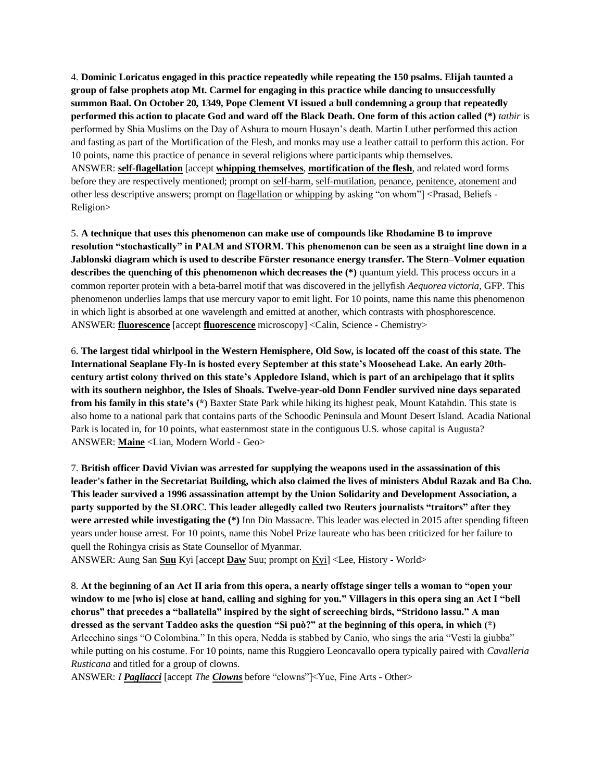4. **Dominic Loricatus engaged in this practice repeatedly while repeating the 150 psalms. Elijah taunted a group of false prophets atop Mt. Carmel for engaging in this practice while dancing to unsuccessfully summon Baal. On October 20, 1349, Pope Clement VI issued a bull condemning a group that repeatedly performed this action to placate God and ward off the Black Death. One form of this action called (\*)** *tatbir* is performed by Shia Muslims on the Day of Ashura to mourn Husayn's death. Martin Luther performed this action and fasting as part of the Mortification of the Flesh, and monks may use a leather cattail to perform this action. For 10 points, name this practice of penance in several religions where participants whip themselves. ANSWER: **self-flagellation** [accept **whipping themselves**, **mortification of the flesh**, and related word forms before they are respectively mentioned; prompt on self-harm, self-mutilation, penance, penitence, atonement and other less descriptive answers; prompt on flagellation or whipping by asking "on whom"] <Prasad, Beliefs -Religion>

5. **A technique that uses this phenomenon can make use of compounds like Rhodamine B to improve resolution "stochastically" in PALM and STORM. This phenomenon can be seen as a straight line down in a Jablonski diagram which is used to describe Förster resonance energy transfer. The Stern–Volmer equation describes the quenching of this phenomenon which decreases the (\*)** quantum yield. This process occurs in a common reporter protein with a beta-barrel motif that was discovered in the jellyfish *Aequorea victoria*, GFP. This phenomenon underlies lamps that use mercury vapor to emit light. For 10 points, name this name this phenomenon in which light is absorbed at one wavelength and emitted at another, which contrasts with phosphorescence. ANSWER: **fluorescence** [accept **fluorescence** microscopy] <Calin, Science - Chemistry>

6. **The largest tidal whirlpool in the Western Hemisphere, Old Sow, is located off the coast of this state. The International Seaplane Fly-In is hosted every September at this state's Moosehead Lake. An early 20thcentury artist colony thrived on this state's Appledore Island, which is part of an archipelago that it splits with its southern neighbor, the Isles of Shoals. Twelve-year-old Donn Fendler survived nine days separated from his family in this state's (\*)** Baxter State Park while hiking its highest peak, Mount Katahdin. This state is also home to a national park that contains parts of the Schoodic Peninsula and Mount Desert Island. Acadia National Park is located in, for 10 points, what easternmost state in the contiguous U.S. whose capital is Augusta? ANSWER: **Maine** <Lian, Modern World - Geo>

7. **British officer David Vivian was arrested for supplying the weapons used in the assassination of this leader's father in the Secretariat Building, which also claimed the lives of ministers Abdul Razak and Ba Cho. This leader survived a 1996 assassination attempt by the Union Solidarity and Development Association, a party supported by the SLORC. This leader allegedly called two Reuters journalists "traitors" after they were arrested while investigating the (\*)** Inn Din Massacre. This leader was elected in 2015 after spending fifteen years under house arrest. For 10 points, name this Nobel Prize laureate who has been criticized for her failure to quell the Rohingya crisis as State Counsellor of Myanmar.

ANSWER: Aung San **Suu** Kyi [accept **Daw** Suu; prompt on Kyi] <Lee, History - World>

8. **At the beginning of an Act II aria from this opera, a nearly offstage singer tells a woman to "open your window to me [who is] close at hand, calling and sighing for you." Villagers in this opera sing an Act I "bell chorus" that precedes a "ballatella" inspired by the sight of screeching birds, "Stridono lassu." A man dressed as the servant Taddeo asks the question "Si può?" at the beginning of this opera, in which (\*)** Arlecchino sings "O Colombina." In this opera, Nedda is stabbed by Canio, who sings the aria "Vesti la giubba" while putting on his costume. For 10 points, name this Ruggiero Leoncavallo opera typically paired with *Cavalleria Rusticana* and titled for a group of clowns.

ANSWER: *I Pagliacci* [accept *The Clowns* before "clowns"]<Yue, Fine Arts - Other>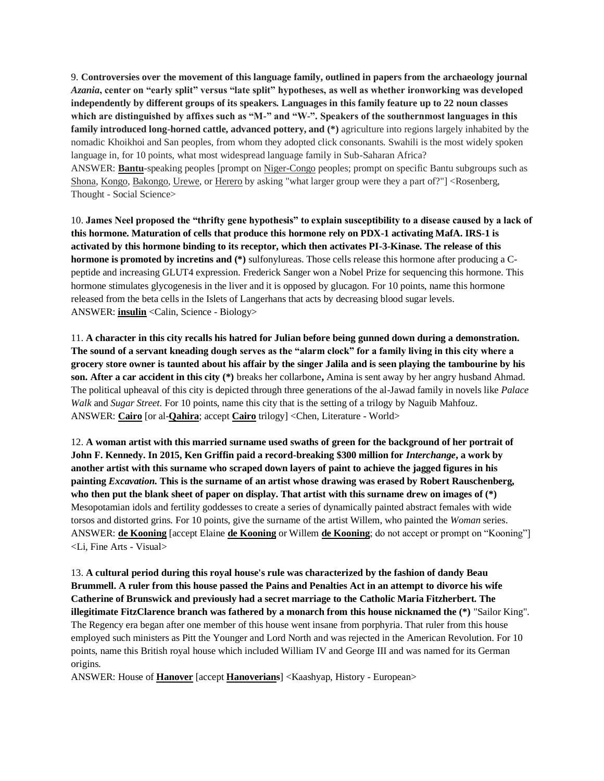9. **Controversies over the movement of this language family, outlined in papers from the archaeology journal**  *Azania***, center on "early split" versus "late split" hypotheses, as well as whether ironworking was developed independently by different groups of its speakers. Languages in this family feature up to 22 noun classes which are distinguished by affixes such as "M-" and "W-". Speakers of the southernmost languages in this family introduced long-horned cattle, advanced pottery, and (\*)** agriculture into regions largely inhabited by the nomadic Khoikhoi and San peoples, from whom they adopted click consonants. Swahili is the most widely spoken language in, for 10 points, what most widespread language family in Sub-Saharan Africa? ANSWER: **Bantu**-speaking peoples [prompt on Niger-Congo peoples; prompt on specific Bantu subgroups such as Shona, Kongo, Bakongo, Urewe, or Herero by asking "what larger group were they a part of?"] <Rosenberg,

Thought - Social Science>

10. **James Neel proposed the "thrifty gene hypothesis" to explain susceptibility to a disease caused by a lack of this hormone. Maturation of cells that produce this hormone rely on PDX-1 activating MafA. IRS-1 is activated by this hormone binding to its receptor, which then activates PI-3-Kinase. The release of this hormone is promoted by incretins and (\*)** sulfonylureas. Those cells release this hormone after producing a Cpeptide and increasing GLUT4 expression. Frederick Sanger won a Nobel Prize for sequencing this hormone. This hormone stimulates glycogenesis in the liver and it is opposed by glucagon. For 10 points, name this hormone released from the beta cells in the Islets of Langerhans that acts by decreasing blood sugar levels. ANSWER: **insulin** <Calin, Science - Biology>

11. **A character in this city recalls his hatred for Julian before being gunned down during a demonstration. The sound of a servant kneading dough serves as the "alarm clock" for a family living in this city where a grocery store owner is taunted about his affair by the singer Jalila and is seen playing the tambourine by his son. After a car accident in this city (\*)** breaks her collarbone**,** Amina is sent away by her angry husband Ahmad. The political upheaval of this city is depicted through three generations of the al-Jawad family in novels like *Palace Walk* and *Sugar Street*. For 10 points, name this city that is the setting of a trilogy by Naguib Mahfouz. ANSWER: **Cairo** [or al-**Qahira**; accept **Cairo** trilogy] <Chen, Literature - World>

12. **A woman artist with this married surname used swaths of green for the background of her portrait of John F. Kennedy. In 2015, Ken Griffin paid a record-breaking \$300 million for** *Interchange***, a work by another artist with this surname who scraped down layers of paint to achieve the jagged figures in his painting** *Excavation***. This is the surname of an artist whose drawing was erased by Robert Rauschenberg, who then put the blank sheet of paper on display. That artist with this surname drew on images of (\*)** Mesopotamian idols and fertility goddesses to create a series of dynamically painted abstract females with wide torsos and distorted grins. For 10 points, give the surname of the artist Willem, who painted the *Woman* series. ANSWER: **de Kooning** [accept Elaine **de Kooning** or Willem **de Kooning**; do not accept or prompt on "Kooning"] <Li, Fine Arts - Visual>

13. **A cultural period during this royal house's rule was characterized by the fashion of dandy Beau Brummell. A ruler from this house passed the Pains and Penalties Act in an attempt to divorce his wife Catherine of Brunswick and previously had a secret marriage to the Catholic Maria Fitzherbert. The illegitimate FitzClarence branch was fathered by a monarch from this house nicknamed the (\*)** "Sailor King". The Regency era began after one member of this house went insane from porphyria. That ruler from this house employed such ministers as Pitt the Younger and Lord North and was rejected in the American Revolution. For 10 points, name this British royal house which included William IV and George III and was named for its German origins.

ANSWER: House of **Hanover** [accept **Hanoverians**] <Kaashyap, History - European>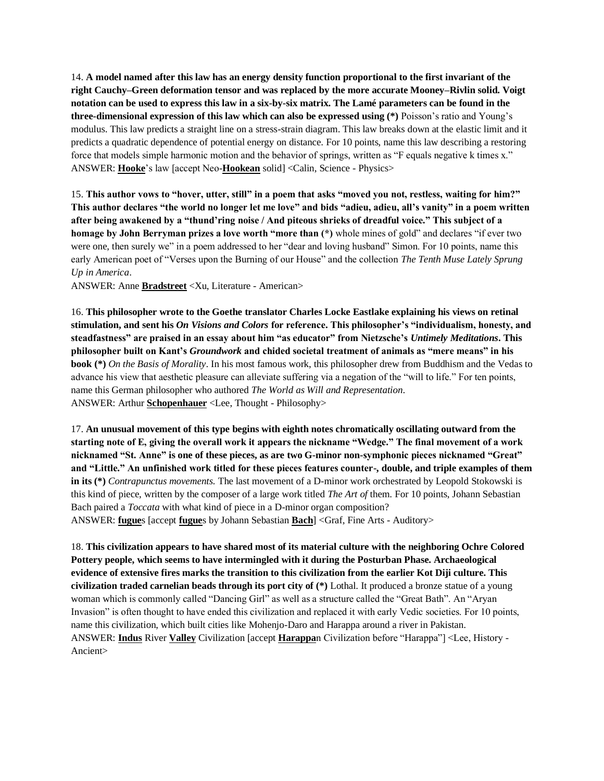14. **A model named after this law has an energy density function proportional to the first invariant of the right Cauchy–Green deformation tensor and was replaced by the more accurate Mooney–Rivlin solid. Voigt notation can be used to express this law in a six-by-six matrix. The Lamé parameters can be found in the three-dimensional expression of this law which can also be expressed using (\*)** Poisson's ratio and Young's modulus. This law predicts a straight line on a stress-strain diagram. This law breaks down at the elastic limit and it predicts a quadratic dependence of potential energy on distance. For 10 points, name this law describing a restoring force that models simple harmonic motion and the behavior of springs, written as "F equals negative k times x." ANSWER: **Hooke**'s law [accept Neo-**Hookean** solid] <Calin, Science - Physics>

15. **This author vows to "hover, utter, still" in a poem that asks "moved you not, restless, waiting for him?" This author declares "the world no longer let me love" and bids "adieu, adieu, all's vanity" in a poem written after being awakened by a "thund'ring noise / And piteous shrieks of dreadful voice." This subject of a homage by John Berryman prizes a love worth "more than (\*)** whole mines of gold" and declares "if ever two were one, then surely we" in a poem addressed to her "dear and loving husband" Simon. For 10 points, name this early American poet of "Verses upon the Burning of our House" and the collection *The Tenth Muse Lately Sprung Up in America*.

ANSWER: Anne **Bradstreet** <Xu, Literature - American>

16. **This philosopher wrote to the Goethe translator Charles Locke Eastlake explaining his views on retinal stimulation, and sent his** *On Visions and Colors* **for reference. This philosopher's "individualism, honesty, and steadfastness" are praised in an essay about him "as educator" from Nietzsche's** *Untimely Meditations***. This philosopher built on Kant's** *Groundwork* **and chided societal treatment of animals as "mere means" in his book (\*)** *On the Basis of Morality*. In his most famous work, this philosopher drew from Buddhism and the Vedas to advance his view that aesthetic pleasure can alleviate suffering via a negation of the "will to life." For ten points, name this German philosopher who authored *The World as Will and Representation*. ANSWER: Arthur **Schopenhauer** <Lee, Thought - Philosophy>

17. **An unusual movement of this type begins with eighth notes chromatically oscillating outward from the starting note of E, giving the overall work it appears the nickname "Wedge." The final movement of a work nicknamed "St. Anne" is one of these pieces, as are two G-minor non-symphonic pieces nicknamed "Great" and "Little." An unfinished work titled for these pieces features counter-, double, and triple examples of them in its (\*)** *Contrapunctus movements.* The last movement of a D-minor work orchestrated by Leopold Stokowski is this kind of piece, written by the composer of a large work titled *The Art of* them. For 10 points, Johann Sebastian Bach paired a *Toccata* with what kind of piece in a D-minor organ composition? ANSWER: **fugue**s [accept **fugue**s by Johann Sebastian **Bach**] <Graf, Fine Arts - Auditory>

18. **This civilization appears to have shared most of its material culture with the neighboring Ochre Colored Pottery people, which seems to have intermingled with it during the Posturban Phase. Archaeological evidence of extensive fires marks the transition to this civilization from the earlier Kot Diji culture. This civilization traded carnelian beads through its port city of (\*)** Lothal. It produced a bronze statue of a young woman which is commonly called "Dancing Girl" as well as a structure called the "Great Bath". An "Aryan Invasion" is often thought to have ended this civilization and replaced it with early Vedic societies. For 10 points, name this civilization, which built cities like Mohenjo-Daro and Harappa around a river in Pakistan. ANSWER: **Indus** River **Valley** Civilization [accept **Harappa**n Civilization before "Harappa"] <Lee, History - Ancient>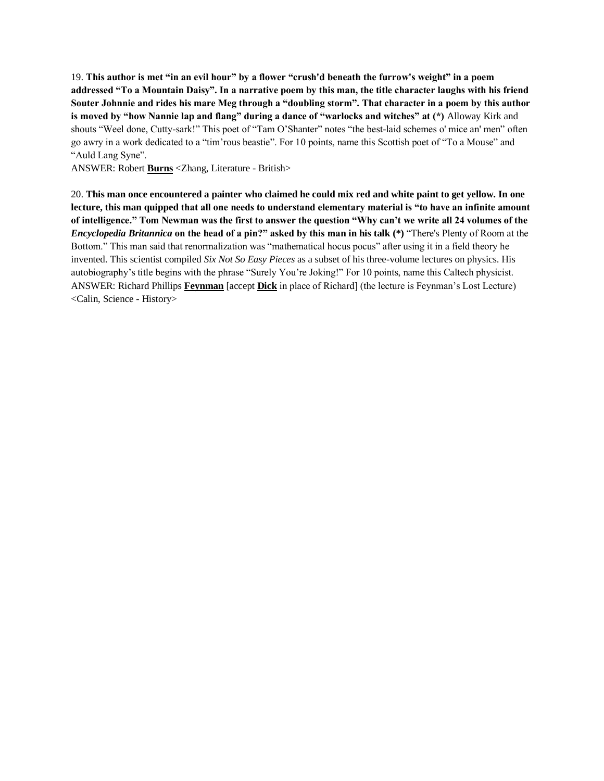19. **This author is met "in an evil hour" by a flower "crush'd beneath the furrow's weight" in a poem addressed "To a Mountain Daisy". In a narrative poem by this man, the title character laughs with his friend Souter Johnnie and rides his mare Meg through a "doubling storm". That character in a poem by this author is moved by "how Nannie lap and flang" during a dance of "warlocks and witches" at (\*)** Alloway Kirk and shouts "Weel done, Cutty-sark!" This poet of "Tam O'Shanter" notes "the best-laid schemes o' mice an' men" often go awry in a work dedicated to a "tim'rous beastie". For 10 points, name this Scottish poet of "To a Mouse" and "Auld Lang Syne".

ANSWER: Robert **Burns** <Zhang, Literature - British>

20. **This man once encountered a painter who claimed he could mix red and white paint to get yellow. In one lecture, this man quipped that all one needs to understand elementary material is "to have an infinite amount of intelligence." Tom Newman was the first to answer the question "Why can't we write all 24 volumes of the**  *Encyclopedia Britannica* **on the head of a pin?" asked by this man in his talk (\*)** "There's Plenty of Room at the Bottom." This man said that renormalization was "mathematical hocus pocus" after using it in a field theory he invented. This scientist compiled *Six Not So Easy Pieces* as a subset of his three-volume lectures on physics. His autobiography's title begins with the phrase "Surely You're Joking!" For 10 points, name this Caltech physicist. ANSWER: Richard Phillips **Feynman** [accept **Dick** in place of Richard] (the lecture is Feynman's Lost Lecture) <Calin, Science - History>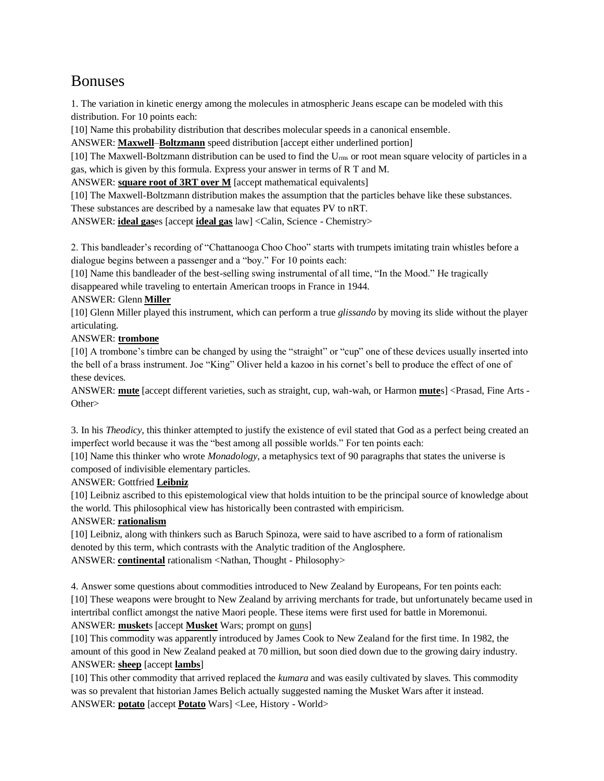# Bonuses

1. The variation in kinetic energy among the molecules in atmospheric Jeans escape can be modeled with this distribution. For 10 points each:

[10] Name this probability distribution that describes molecular speeds in a canonical ensemble.

ANSWER: **Maxwell**–**Boltzmann** speed distribution [accept either underlined portion]

[10] The Maxwell-Boltzmann distribution can be used to find the U<sub>rms</sub> or root mean square velocity of particles in a gas, which is given by this formula. Express your answer in terms of R T and M.

ANSWER: **square root of 3RT over M** [accept mathematical equivalents]

[10] The Maxwell-Boltzmann distribution makes the assumption that the particles behave like these substances.

These substances are described by a namesake law that equates PV to nRT.

ANSWER: **ideal gas**es [accept **ideal gas** law] <Calin, Science - Chemistry>

2. This bandleader's recording of "Chattanooga Choo Choo" starts with trumpets imitating train whistles before a dialogue begins between a passenger and a "boy." For 10 points each:

[10] Name this bandleader of the best-selling swing instrumental of all time, "In the Mood." He tragically disappeared while traveling to entertain American troops in France in 1944.

## ANSWER: Glenn **Miller**

[10] Glenn Miller played this instrument, which can perform a true *glissando* by moving its slide without the player articulating.

## ANSWER: **trombone**

[10] A trombone's timbre can be changed by using the "straight" or "cup" one of these devices usually inserted into the bell of a brass instrument. Joe "King" Oliver held a kazoo in his cornet's bell to produce the effect of one of these devices.

ANSWER: **mute** [accept different varieties, such as straight, cup, wah-wah, or Harmon **mute**s] <Prasad, Fine Arts - Other>

3. In his *Theodicy*, this thinker attempted to justify the existence of evil stated that God as a perfect being created an imperfect world because it was the "best among all possible worlds." For ten points each:

[10] Name this thinker who wrote *Monadology*, a metaphysics text of 90 paragraphs that states the universe is composed of indivisible elementary particles.

## ANSWER: Gottfried **Leibniz**

[10] Leibniz ascribed to this epistemological view that holds intuition to be the principal source of knowledge about the world. This philosophical view has historically been contrasted with empiricism.

## ANSWER: **rationalism**

[10] Leibniz, along with thinkers such as Baruch Spinoza, were said to have ascribed to a form of rationalism denoted by this term, which contrasts with the Analytic tradition of the Anglosphere. ANSWER: **continental** rationalism <Nathan, Thought - Philosophy>

4. Answer some questions about commodities introduced to New Zealand by Europeans, For ten points each: [10] These weapons were brought to New Zealand by arriving merchants for trade, but unfortunately became used in intertribal conflict amongst the native Maori people. These items were first used for battle in Moremonui. ANSWER: **musket**s [accept **Musket** Wars; prompt on guns]

[10] This commodity was apparently introduced by James Cook to New Zealand for the first time. In 1982, the amount of this good in New Zealand peaked at 70 million, but soon died down due to the growing dairy industry. ANSWER: **sheep** [accept **lambs**]

[10] This other commodity that arrived replaced the *kumara* and was easily cultivated by slaves. This commodity was so prevalent that historian James Belich actually suggested naming the Musket Wars after it instead. ANSWER: **potato** [accept **Potato** Wars] <Lee, History - World>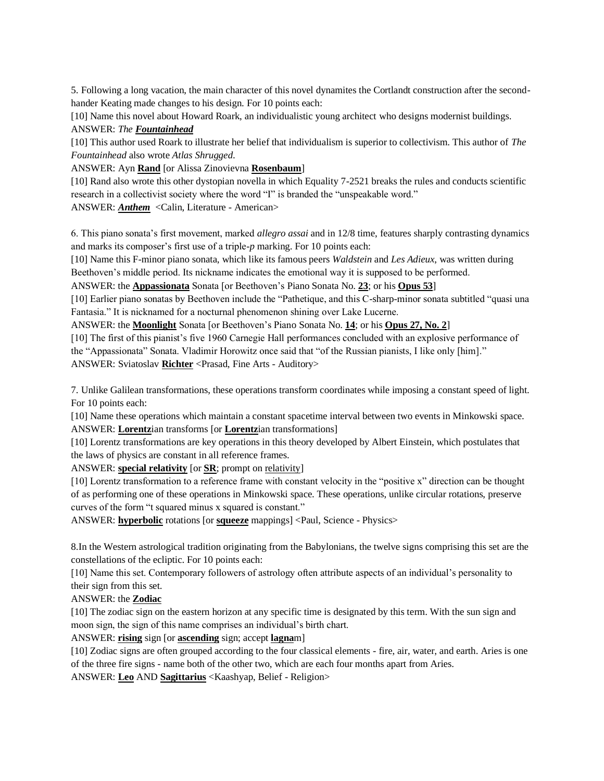5. Following a long vacation, the main character of this novel dynamites the Cortlandt construction after the secondhander Keating made changes to his design. For 10 points each:

[10] Name this novel about Howard Roark, an individualistic young architect who designs modernist buildings. ANSWER: *The Fountainhead*

[10] This author used Roark to illustrate her belief that individualism is superior to collectivism. This author of *The Fountainhead* also wrote *Atlas Shrugged*.

ANSWER: Ayn **Rand** [or Alissa Zinovievna **Rosenbaum**]

[10] Rand also wrote this other dystopian novella in which Equality 7-2521 breaks the rules and conducts scientific research in a collectivist society where the word "I" is branded the "unspeakable word."

ANSWER: *Anthem* <Calin, Literature - American>

6. This piano sonata's first movement, marked *allegro assai* and in 12/8 time, features sharply contrasting dynamics and marks its composer's first use of a triple-*p* marking. For 10 points each:

[10] Name this F-minor piano sonata, which like its famous peers *Waldstein* and *Les Adieux*, was written during Beethoven's middle period. Its nickname indicates the emotional way it is supposed to be performed.

ANSWER: the **Appassionata** Sonata [or Beethoven's Piano Sonata No. **23**; or his **Opus 53**]

[10] Earlier piano sonatas by Beethoven include the "Pathetique, and this C-sharp-minor sonata subtitled "quasi una Fantasia." It is nicknamed for a nocturnal phenomenon shining over Lake Lucerne.

ANSWER: the **Moonlight** Sonata [or Beethoven's Piano Sonata No. **14**; or his **Opus 27, No. 2**]

[10] The first of this pianist's five 1960 Carnegie Hall performances concluded with an explosive performance of the "Appassionata" Sonata. Vladimir Horowitz once said that "of the Russian pianists, I like only [him]." ANSWER: Sviatoslav **Richter** <Prasad, Fine Arts - Auditory>

7. Unlike Galilean transformations, these operations transform coordinates while imposing a constant speed of light. For 10 points each:

[10] Name these operations which maintain a constant spacetime interval between two events in Minkowski space. ANSWER: **Lorentz**ian transforms [or **Lorentz**ian transformations]

[10] Lorentz transformations are key operations in this theory developed by Albert Einstein, which postulates that the laws of physics are constant in all reference frames.

ANSWER: **special relativity** [or **SR**; prompt on relativity]

[10] Lorentz transformation to a reference frame with constant velocity in the "positive x" direction can be thought of as performing one of these operations in Minkowski space. These operations, unlike circular rotations, preserve curves of the form "t squared minus x squared is constant."

ANSWER: **hyperbolic** rotations [or **squeeze** mappings] <Paul, Science - Physics>

8.In the Western astrological tradition originating from the Babylonians, the twelve signs comprising this set are the constellations of the ecliptic. For 10 points each:

[10] Name this set. Contemporary followers of astrology often attribute aspects of an individual's personality to their sign from this set.

## ANSWER: the **Zodiac**

[10] The zodiac sign on the eastern horizon at any specific time is designated by this term. With the sun sign and moon sign, the sign of this name comprises an individual's birth chart.

ANSWER: **rising** sign [or **ascending** sign; accept **lagna**m]

[10] Zodiac signs are often grouped according to the four classical elements - fire, air, water, and earth. Aries is one of the three fire signs - name both of the other two, which are each four months apart from Aries.

ANSWER: **Leo** AND **Sagittarius** <Kaashyap, Belief - Religion>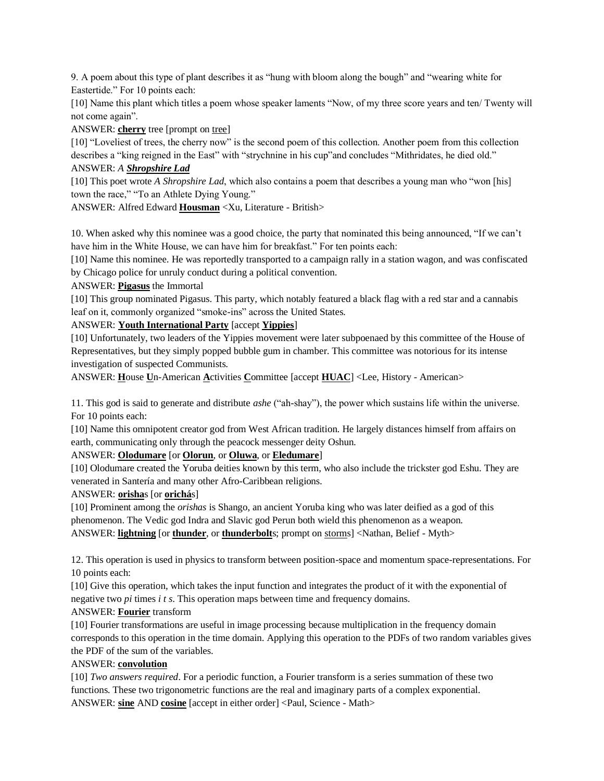9. A poem about this type of plant describes it as "hung with bloom along the bough" and "wearing white for Eastertide." For 10 points each:

[10] Name this plant which titles a poem whose speaker laments "Now, of my three score years and ten/ Twenty will not come again".

ANSWER: **cherry** tree [prompt on tree]

[10] "Loveliest of trees, the cherry now" is the second poem of this collection. Another poem from this collection describes a "king reigned in the East" with "strychnine in his cup"and concludes "Mithridates, he died old."

#### ANSWER: *A Shropshire Lad*

[10] This poet wrote *A Shropshire Lad*, which also contains a poem that describes a young man who "won [his] town the race," "To an Athlete Dying Young."

ANSWER: Alfred Edward **Housman** <Xu, Literature - British>

10. When asked why this nominee was a good choice, the party that nominated this being announced, "If we can't have him in the White House, we can have him for breakfast." For ten points each:

[10] Name this nominee. He was reportedly transported to a campaign rally in a station wagon, and was confiscated by Chicago police for unruly conduct during a political convention.

#### ANSWER: **Pigasus** the Immortal

[10] This group nominated Pigasus. This party, which notably featured a black flag with a red star and a cannabis leaf on it, commonly organized "smoke-ins" across the United States.

## ANSWER: **Youth International Party** [accept **Yippies**]

[10] Unfortunately, two leaders of the Yippies movement were later subpoenaed by this committee of the House of Representatives, but they simply popped bubble gum in chamber. This committee was notorious for its intense investigation of suspected Communists.

ANSWER: **H**ouse **U**n-American **A**ctivities **C**ommittee [accept **HUAC**] <Lee, History - American>

11. This god is said to generate and distribute *ashe* ("ah-shay"), the power which sustains life within the universe. For 10 points each:

[10] Name this omnipotent creator god from West African tradition. He largely distances himself from affairs on earth, communicating only through the peacock messenger deity Oshun.

## ANSWER: **Olodumare** [or **Olorun**, or **Oluwa**, or **Eledumare**]

[10] Olodumare created the Yoruba deities known by this term, who also include the trickster god Eshu. They are venerated in Santería and many other Afro-Caribbean religions.

## ANSWER: **orisha**s [or **orichá**s]

[10] Prominent among the *orishas* is Shango, an ancient Yoruba king who was later deified as a god of this phenomenon. The Vedic god Indra and Slavic god Perun both wield this phenomenon as a weapon. ANSWER: **lightning** [or **thunder**, or **thunderbolt**s; prompt on storms] <Nathan, Belief - Myth>

12. This operation is used in physics to transform between position-space and momentum space-representations. For 10 points each:

[10] Give this operation, which takes the input function and integrates the product of it with the exponential of negative two *pi* times *i t s*. This operation maps between time and frequency domains.

## ANSWER: **Fourier** transform

[10] Fourier transformations are useful in image processing because multiplication in the frequency domain corresponds to this operation in the time domain. Applying this operation to the PDFs of two random variables gives the PDF of the sum of the variables.

## ANSWER: **convolution**

[10] *Two answers required*. For a periodic function, a Fourier transform is a series summation of these two functions. These two trigonometric functions are the real and imaginary parts of a complex exponential. ANSWER: **sine** AND **cosine** [accept in either order] <Paul, Science - Math>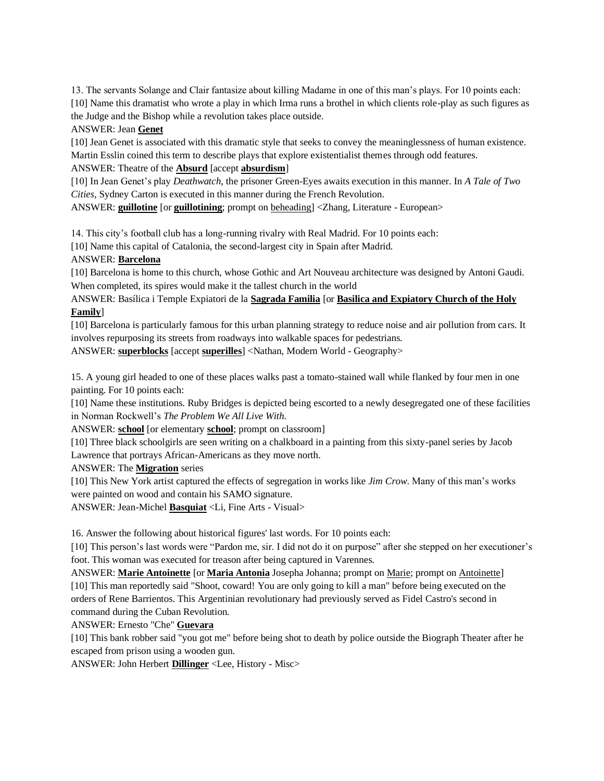13. The servants Solange and Clair fantasize about killing Madame in one of this man's plays. For 10 points each: [10] Name this dramatist who wrote a play in which Irma runs a brothel in which clients role-play as such figures as the Judge and the Bishop while a revolution takes place outside.

#### ANSWER: Jean **Genet**

[10] Jean Genet is associated with this dramatic style that seeks to convey the meaninglessness of human existence. Martin Esslin coined this term to describe plays that explore existentialist themes through odd features.

ANSWER: Theatre of the **Absurd** [accept **absurdism**]

[10] In Jean Genet's play *Deathwatch*, the prisoner Green-Eyes awaits execution in this manner. In *A Tale of Two Cities*, Sydney Carton is executed in this manner during the French Revolution.

ANSWER: **guillotine** [or **guillotining**; prompt on beheading] <Zhang, Literature - European>

14. This city's football club has a long-running rivalry with Real Madrid. For 10 points each:

[10] Name this capital of Catalonia, the second-largest city in Spain after Madrid.

#### ANSWER: **Barcelona**

[10] Barcelona is home to this church, whose Gothic and Art Nouveau architecture was designed by Antoni Gaudi. When completed, its spires would make it the tallest church in the world

ANSWER: Basílica i Temple Expiatori de la **Sagrada Familia** [or **Basilica and Expiatory Church of the Holy Family**]

[10] Barcelona is particularly famous for this urban planning strategy to reduce noise and air pollution from cars. It involves repurposing its streets from roadways into walkable spaces for pedestrians.

ANSWER: **superblocks** [accept **superilles**] <Nathan, Modern World - Geography>

15. A young girl headed to one of these places walks past a tomato-stained wall while flanked by four men in one painting. For 10 points each:

[10] Name these institutions. Ruby Bridges is depicted being escorted to a newly desegregated one of these facilities in Norman Rockwell's *The Problem We All Live With.*

ANSWER: **school** [or elementary **school**; prompt on classroom]

[10] Three black schoolgirls are seen writing on a chalkboard in a painting from this sixty-panel series by Jacob Lawrence that portrays African-Americans as they move north.

ANSWER: The **Migration** series

[10] This New York artist captured the effects of segregation in works like *Jim Crow*. Many of this man's works were painted on wood and contain his SAMO signature.

ANSWER: Jean-Michel **Basquiat** <Li, Fine Arts - Visual>

16. Answer the following about historical figures' last words. For 10 points each:

[10] This person's last words were "Pardon me, sir. I did not do it on purpose" after she stepped on her executioner's foot. This woman was executed for treason after being captured in Varennes.

ANSWER: **Marie Antoinette** [or **Maria Antonia** Josepha Johanna; prompt on Marie; prompt on Antoinette] [10] This man reportedly said "Shoot, coward! You are only going to kill a man" before being executed on the orders of Rene Barrientos. This Argentinian revolutionary had previously served as Fidel Castro's second in command during the Cuban Revolution.

ANSWER: Ernesto "Che" **Guevara**

[10] This bank robber said "you got me" before being shot to death by police outside the Biograph Theater after he escaped from prison using a wooden gun.

ANSWER: John Herbert **Dillinger** <Lee, History - Misc>